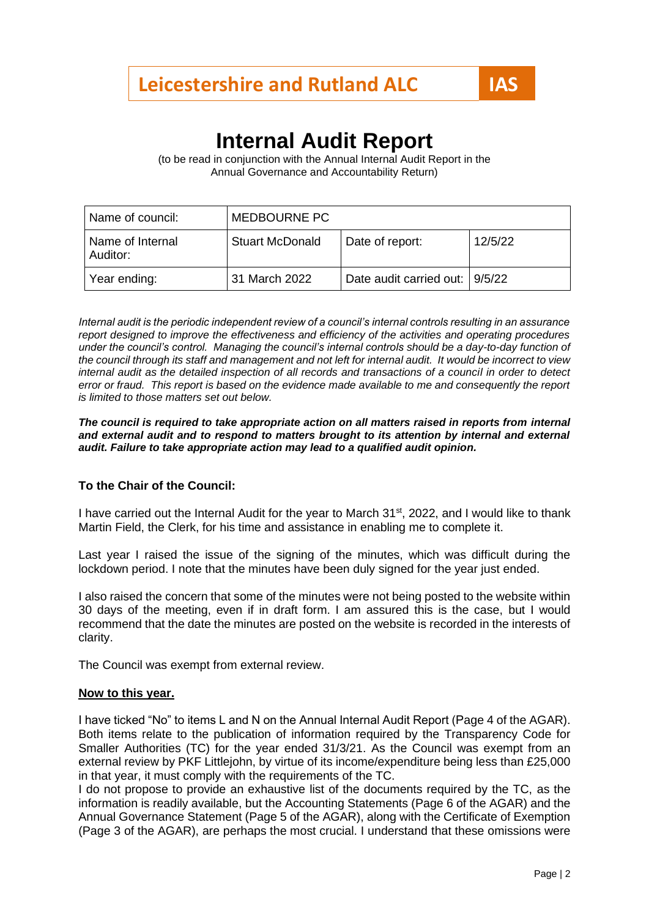# **Internal Audit Report**

(to be read in conjunction with the Annual Internal Audit Report in the Annual Governance and Accountability Return)

| Name of council:             | <b>MEDBOURNE PC</b>    |                                |         |
|------------------------------|------------------------|--------------------------------|---------|
| Name of Internal<br>Auditor: | <b>Stuart McDonald</b> | Date of report:                | 12/5/22 |
| Year ending:                 | 31 March 2022          | Date audit carried out: 9/5/22 |         |

*Internal audit is the periodic independent review of a council's internal controls resulting in an assurance report designed to improve the effectiveness and efficiency of the activities and operating procedures under the council's control. Managing the council's internal controls should be a day-to-day function of the council through its staff and management and not left for internal audit. It would be incorrect to view internal audit as the detailed inspection of all records and transactions of a council in order to detect error or fraud. This report is based on the evidence made available to me and consequently the report is limited to those matters set out below.*

#### *The council is required to take appropriate action on all matters raised in reports from internal and external audit and to respond to matters brought to its attention by internal and external audit. Failure to take appropriate action may lead to a qualified audit opinion.*

### **To the Chair of the Council:**

I have carried out the Internal Audit for the year to March 31<sup>st</sup>, 2022, and I would like to thank Martin Field, the Clerk, for his time and assistance in enabling me to complete it.

Last year I raised the issue of the signing of the minutes, which was difficult during the lockdown period. I note that the minutes have been duly signed for the year just ended.

I also raised the concern that some of the minutes were not being posted to the website within 30 days of the meeting, even if in draft form. I am assured this is the case, but I would recommend that the date the minutes are posted on the website is recorded in the interests of clarity.

The Council was exempt from external review.

#### **Now to this year.**

I have ticked "No" to items L and N on the Annual Internal Audit Report (Page 4 of the AGAR). Both items relate to the publication of information required by the Transparency Code for Smaller Authorities (TC) for the year ended 31/3/21. As the Council was exempt from an external review by PKF Littlejohn, by virtue of its income/expenditure being less than £25,000 in that year, it must comply with the requirements of the TC.

I do not propose to provide an exhaustive list of the documents required by the TC, as the information is readily available, but the Accounting Statements (Page 6 of the AGAR) and the Annual Governance Statement (Page 5 of the AGAR), along with the Certificate of Exemption (Page 3 of the AGAR), are perhaps the most crucial. I understand that these omissions were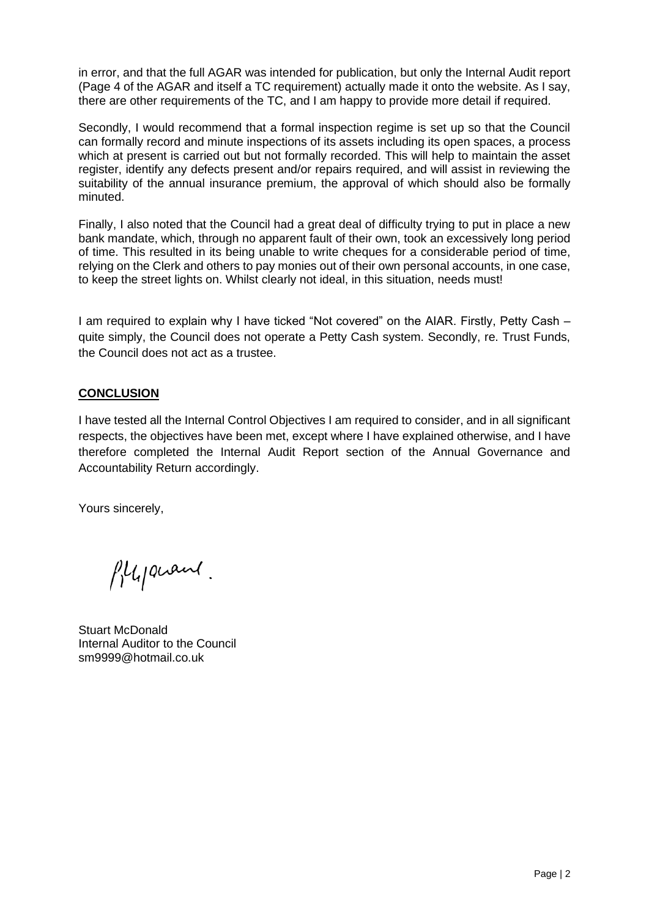in error, and that the full AGAR was intended for publication, but only the Internal Audit report (Page 4 of the AGAR and itself a TC requirement) actually made it onto the website. As I say, there are other requirements of the TC, and I am happy to provide more detail if required.

Secondly, I would recommend that a formal inspection regime is set up so that the Council can formally record and minute inspections of its assets including its open spaces, a process which at present is carried out but not formally recorded. This will help to maintain the asset register, identify any defects present and/or repairs required, and will assist in reviewing the suitability of the annual insurance premium, the approval of which should also be formally minuted.

Finally, I also noted that the Council had a great deal of difficulty trying to put in place a new bank mandate, which, through no apparent fault of their own, took an excessively long period of time. This resulted in its being unable to write cheques for a considerable period of time, relying on the Clerk and others to pay monies out of their own personal accounts, in one case, to keep the street lights on. Whilst clearly not ideal, in this situation, needs must!

I am required to explain why I have ticked "Not covered" on the AIAR. Firstly, Petty Cash – quite simply, the Council does not operate a Petty Cash system. Secondly, re. Trust Funds, the Council does not act as a trustee.

## **CONCLUSION**

I have tested all the Internal Control Objectives I am required to consider, and in all significant respects, the objectives have been met, except where I have explained otherwise, and I have therefore completed the Internal Audit Report section of the Annual Governance and Accountability Return accordingly.

Yours sincerely,

Plypiant.

Stuart McDonald Internal Auditor to the Council sm9999@hotmail.co.uk